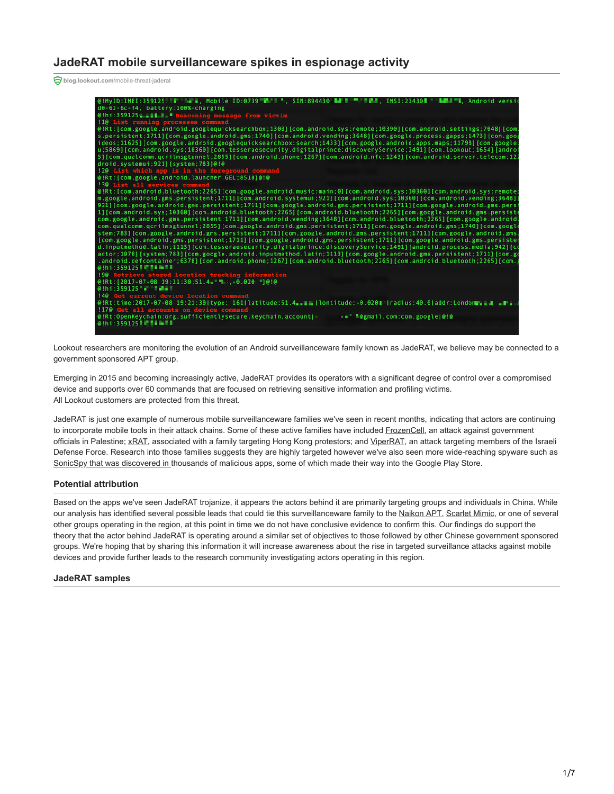# **JadeRAT mobile surveillanceware spikes in espionage activity**

**blog.lookout.com**[/mobile-threat-jaderat](https://blog.lookout.com/mobile-threat-jaderat)



Lookout researchers are monitoring the evolution of an Android surveillanceware family known as JadeRAT, we believe may be connected to a government sponsored APT group.

Emerging in 2015 and becoming increasingly active, JadeRAT provides its operators with a significant degree of control over a compromised device and supports over 60 commands that are focused on retrieving sensitive information and profiling victims. All Lookout customers are protected from this threat.

JadeRAT is just one example of numerous mobile surveillanceware families we've seen in recent months, indicating that actors are continuing to incorporate mobile tools in their attack chains. Some of these active families have included [FrozenCell](https://blog.lookout.com/frozencell-mobile-threat), an attack against government officials in Palestine; [xRAT](https://blog.lookout.com/xrat-mobile-threat), associated with a family targeting Hong Kong protestors; and [ViperRAT,](https://blog.lookout.com/viperrat-mobile-apt) an attack targeting members of the Israeli Defense Force. Research into those families suggests they are highly targeted however we've also seen more wide-reaching spyware such as [SonicSpy that was discovered in](https://blog.lookout.com/sonicspy-spyware-threat-technical-research) thousands of malicious apps, some of which made their way into the Google Play Store.

## **Potential attribution**

Based on the apps we've seen JadeRAT trojanize, it appears the actors behind it are primarily targeting groups and individuals in China. While our analysis has identified several possible leads that could tie this surveillanceware family to the [Naikon APT](http://cdn2.hubspot.net/hubfs/454298/Project_CAMERASHY_ThreatConnect_Copyright_2015.pdf?t=1443030820943&submissionGuid=81f1c199-859f-41e9-955b-2eec13777720), [Scarlet Mimic](https://researchcenter.paloaltonetworks.com/2016/01/scarlet-mimic-years-long-espionage-targets-minority-activists/), or one of several other groups operating in the region, at this point in time we do not have conclusive evidence to confirm this. Our findings do support the theory that the actor behind JadeRAT is operating around a similar set of objectives to those followed by other Chinese government sponsored groups. We're hoping that by sharing this information it will increase awareness about the rise in targeted surveillance attacks against mobile devices and provide further leads to the research community investigating actors operating in this region.

## **JadeRAT samples**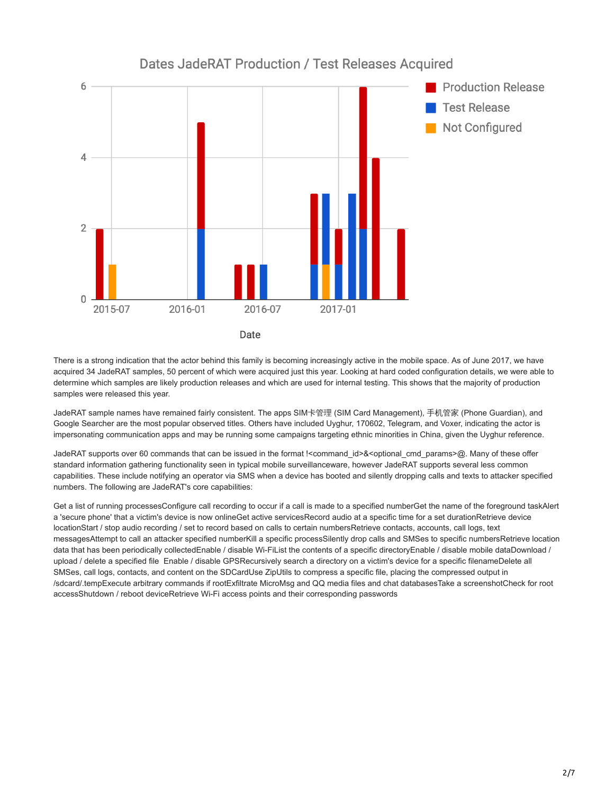

There is a strong indication that the actor behind this family is becoming increasingly active in the mobile space. As of June 2017, we have acquired 34 JadeRAT samples, 50 percent of which were acquired just this year. Looking at hard coded configuration details, we were able to determine which samples are likely production releases and which are used for internal testing. This shows that the majority of production samples were released this year.

JadeRAT sample names have remained fairly consistent. The apps SIM卡管理 (SIM Card Management), 手机管家 (Phone Guardian), and Google Searcher are the most popular observed titles. Others have included Uyghur, 170602, Telegram, and Voxer, indicating the actor is impersonating communication apps and may be running some campaigns targeting ethnic minorities in China, given the Uyghur reference.

JadeRAT supports over 60 commands that can be issued in the format !<command\_id>&<optional\_cmd\_params>@. Many of these offer standard information gathering functionality seen in typical mobile surveillanceware, however JadeRAT supports several less common capabilities. These include notifying an operator via SMS when a device has booted and silently dropping calls and texts to attacker specified numbers. The following are JadeRAT's core capabilities:

Get a list of running processesConfigure call recording to occur if a call is made to a specified numberGet the name of the foreground taskAlert a 'secure phone' that a victim's device is now onlineGet active servicesRecord audio at a specific time for a set durationRetrieve device locationStart / stop audio recording / set to record based on calls to certain numbersRetrieve contacts, accounts, call logs, text messagesAttempt to call an attacker specified numberKill a specific processSilently drop calls and SMSes to specific numbersRetrieve location data that has been periodically collectedEnable / disable Wi-FiList the contents of a specific directoryEnable / disable mobile dataDownload / upload / delete a specified file Enable / disable GPSRecursively search a directory on a victim's device for a specific filenameDelete all SMSes, call logs, contacts, and content on the SDCardUse ZipUtils to compress a specific file, placing the compressed output in /sdcard/.tempExecute arbitrary commands if rootExfiltrate MicroMsg and QQ media files and chat databasesTake a screenshotCheck for root accessShutdown / reboot deviceRetrieve Wi-Fi access points and their corresponding passwords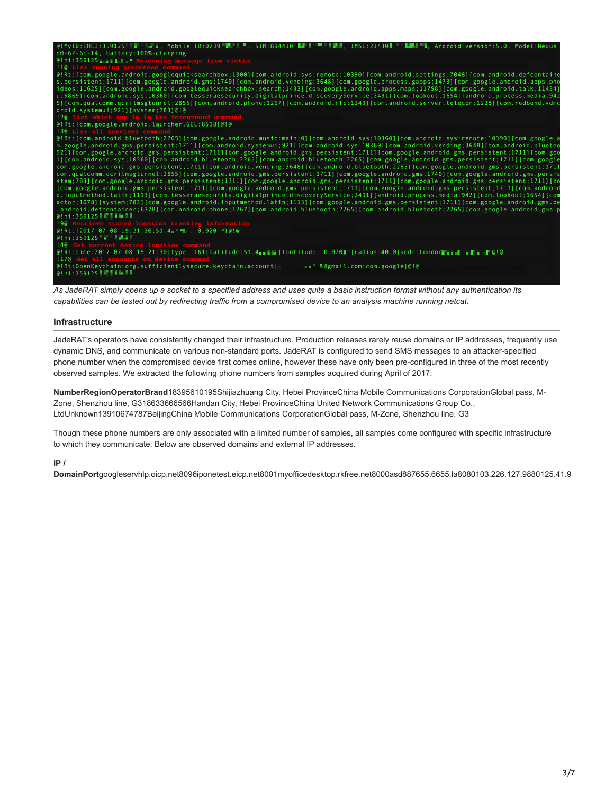

*As JadeRAT simply opens up a socket to a specified address and uses quite a basic instruction format without any authentication its capabilities can be tested out by redirecting traffic from a compromised device to an analysis machine running netcat.*

## **Infrastructure**

JadeRAT's operators have consistently changed their infrastructure. Production releases rarely reuse domains or IP addresses, frequently use dynamic DNS, and communicate on various non-standard ports. JadeRAT is configured to send SMS messages to an attacker-specified phone number when the compromised device first comes online, however these have only been pre-configured in three of the most recently observed samples. We extracted the following phone numbers from samples acquired during April of 2017:

**NumberRegionOperatorBrand**18395610195Shijiazhuang City, Hebei ProvinceChina Mobile Communications CorporationGlobal pass, M-Zone, Shenzhou line, G318633666566Handan City, Hebei ProvinceChina United Network Communications Group Co., LtdUnknown13910674787BeijingChina Mobile Communications CorporationGlobal pass, M-Zone, Shenzhou line, G3

Though these phone numbers are only associated with a limited number of samples, all samples come configured with specific infrastructure to which they communicate. Below are observed domains and external IP addresses.

## **IP /**

**DomainPort**googleservhlp.oicp.net8096iponetest.eicp.net8001myofficedesktop.rkfree.net8000asd887655.6655.la8080103.226.127.9880125.41.9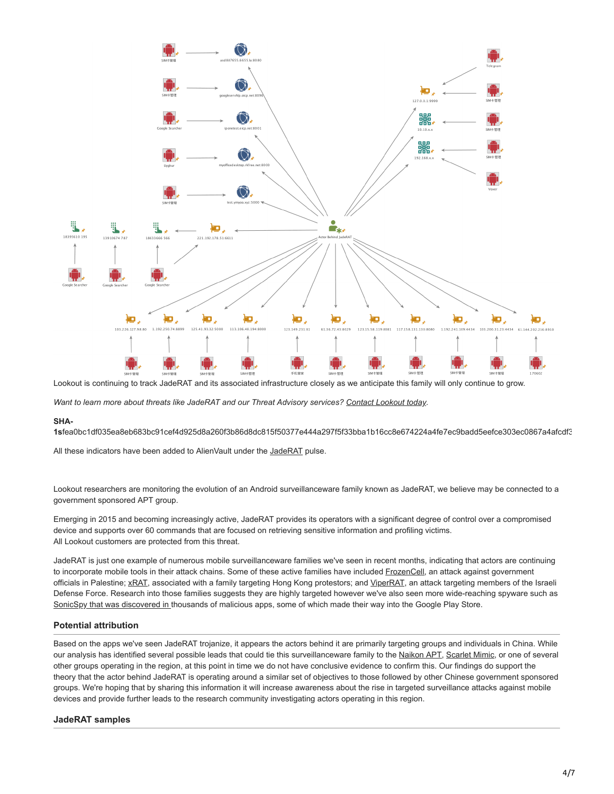

Lookout is continuing to track JadeRAT and its associated infrastructure closely as we anticipate this family will only continue to grow.

*Want to learn more about threats like JadeRAT and our Threat Advisory services? [Contact Lookout today](https://www.lookout.com/info/enterprise-contact-us?camp=701i0000001De2A).*

## **SHA-**

**1s**fea0bc1df035ea8eb683bc91cef4d925d8a260f3b86d8dc815f50377e444a297f5f33bba1b16cc8e674224a4fe7ec9badd5eefce303ec0867a4afcdf3

All these indicators have been added to AlienVault under the [JadeRAT](https://otx.alienvault.com/pulse/59e7a58dc4aec524912bb280/) pulse.

Lookout researchers are monitoring the evolution of an Android surveillanceware family known as JadeRAT, we believe may be connected to a government sponsored APT group.

Emerging in 2015 and becoming increasingly active, JadeRAT provides its operators with a significant degree of control over a compromised device and supports over 60 commands that are focused on retrieving sensitive information and profiling victims. All Lookout customers are protected from this threat.

JadeRAT is just one example of numerous mobile surveillanceware families we've seen in recent months, indicating that actors are continuing to incorporate mobile tools in their attack chains. Some of these active families have included [FrozenCell](https://blog.lookout.com/frozencell-mobile-threat), an attack against government officials in Palestine; [xRAT](https://blog.lookout.com/xrat-mobile-threat), associated with a family targeting Hong Kong protestors; and [ViperRAT,](https://blog.lookout.com/viperrat-mobile-apt) an attack targeting members of the Israeli Defense Force. Research into those families suggests they are highly targeted however we've also seen more wide-reaching spyware such as [SonicSpy that was discovered in](https://blog.lookout.com/sonicspy-spyware-threat-technical-research) thousands of malicious apps, some of which made their way into the Google Play Store.

# **Potential attribution**

Based on the apps we've seen JadeRAT trojanize, it appears the actors behind it are primarily targeting groups and individuals in China. While our analysis has identified several possible leads that could tie this surveillanceware family to the [Naikon APT](http://cdn2.hubspot.net/hubfs/454298/Project_CAMERASHY_ThreatConnect_Copyright_2015.pdf?t=1443030820943&submissionGuid=81f1c199-859f-41e9-955b-2eec13777720), [Scarlet Mimic](https://researchcenter.paloaltonetworks.com/2016/01/scarlet-mimic-years-long-espionage-targets-minority-activists/), or one of several other groups operating in the region, at this point in time we do not have conclusive evidence to confirm this. Our findings do support the theory that the actor behind JadeRAT is operating around a similar set of objectives to those followed by other Chinese government sponsored groups. We're hoping that by sharing this information it will increase awareness about the rise in targeted surveillance attacks against mobile devices and provide further leads to the research community investigating actors operating in this region.

# **JadeRAT samples**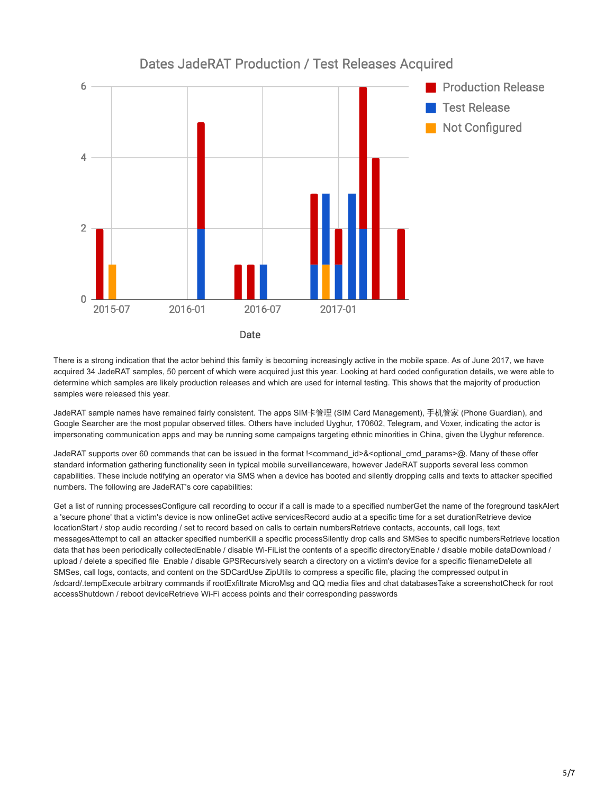

There is a strong indication that the actor behind this family is becoming increasingly active in the mobile space. As of June 2017, we have acquired 34 JadeRAT samples, 50 percent of which were acquired just this year. Looking at hard coded configuration details, we were able to determine which samples are likely production releases and which are used for internal testing. This shows that the majority of production samples were released this year.

JadeRAT sample names have remained fairly consistent. The apps SIM卡管理 (SIM Card Management), 手机管家 (Phone Guardian), and Google Searcher are the most popular observed titles. Others have included Uyghur, 170602, Telegram, and Voxer, indicating the actor is impersonating communication apps and may be running some campaigns targeting ethnic minorities in China, given the Uyghur reference.

JadeRAT supports over 60 commands that can be issued in the format !<command\_id>&<optional\_cmd\_params>@. Many of these offer standard information gathering functionality seen in typical mobile surveillanceware, however JadeRAT supports several less common capabilities. These include notifying an operator via SMS when a device has booted and silently dropping calls and texts to attacker specified numbers. The following are JadeRAT's core capabilities:

Get a list of running processesConfigure call recording to occur if a call is made to a specified numberGet the name of the foreground taskAlert a 'secure phone' that a victim's device is now onlineGet active servicesRecord audio at a specific time for a set durationRetrieve device locationStart / stop audio recording / set to record based on calls to certain numbersRetrieve contacts, accounts, call logs, text messagesAttempt to call an attacker specified numberKill a specific processSilently drop calls and SMSes to specific numbersRetrieve location data that has been periodically collectedEnable / disable Wi-FiList the contents of a specific directoryEnable / disable mobile dataDownload / upload / delete a specified file Enable / disable GPSRecursively search a directory on a victim's device for a specific filenameDelete all SMSes, call logs, contacts, and content on the SDCardUse ZipUtils to compress a specific file, placing the compressed output in /sdcard/.tempExecute arbitrary commands if rootExfiltrate MicroMsg and QQ media files and chat databasesTake a screenshotCheck for root accessShutdown / reboot deviceRetrieve Wi-Fi access points and their corresponding passwords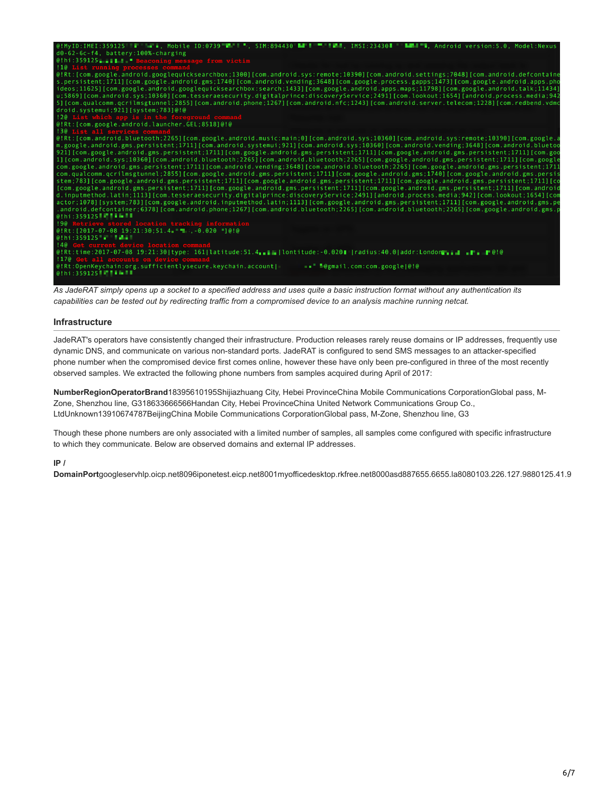

*As JadeRAT simply opens up a socket to a specified address and uses quite a basic instruction format without any authentication its capabilities can be tested out by redirecting traffic from a compromised device to an analysis machine running netcat.*

## **Infrastructure**

JadeRAT's operators have consistently changed their infrastructure. Production releases rarely reuse domains or IP addresses, frequently use dynamic DNS, and communicate on various non-standard ports. JadeRAT is configured to send SMS messages to an attacker-specified phone number when the compromised device first comes online, however these have only been pre-configured in three of the most recently observed samples. We extracted the following phone numbers from samples acquired during April of 2017:

**NumberRegionOperatorBrand**18395610195Shijiazhuang City, Hebei ProvinceChina Mobile Communications CorporationGlobal pass, M-Zone, Shenzhou line, G318633666566Handan City, Hebei ProvinceChina United Network Communications Group Co., LtdUnknown13910674787BeijingChina Mobile Communications CorporationGlobal pass, M-Zone, Shenzhou line, G3

Though these phone numbers are only associated with a limited number of samples, all samples come configured with specific infrastructure to which they communicate. Below are observed domains and external IP addresses.

## **IP /**

**DomainPort**googleservhlp.oicp.net8096iponetest.eicp.net8001myofficedesktop.rkfree.net8000asd887655.6655.la8080103.226.127.9880125.41.9